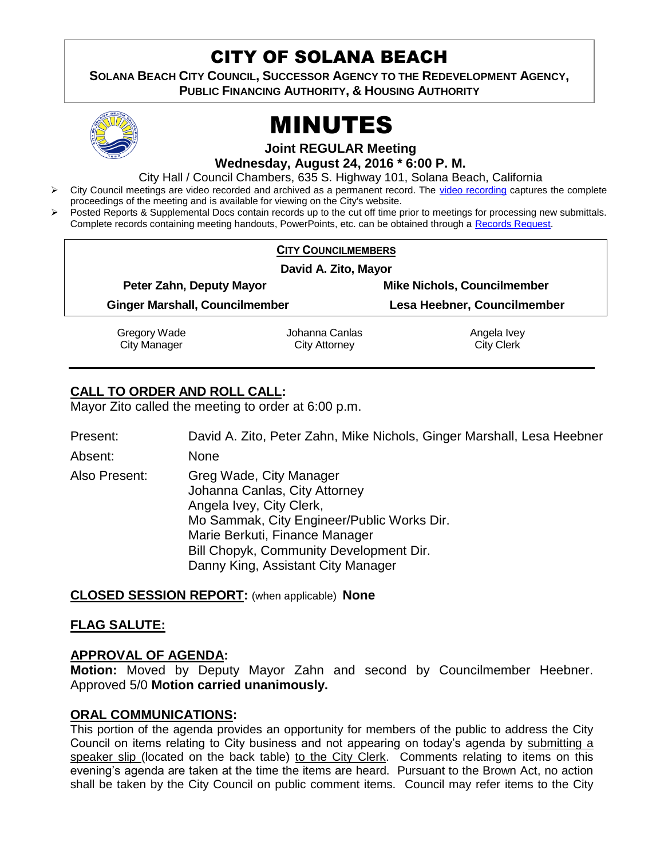## CITY OF SOLANA BEACH

**SOLANA BEACH CITY COUNCIL, SUCCESSOR AGENCY TO THE REDEVELOPMENT AGENCY, PUBLIC FINANCING AUTHORITY, & HOUSING AUTHORITY** 



# MINUTES

**Joint REGULAR Meeting Wednesday, August 24, 2016 \* 6:00 P. M.**

City Hall / Council Chambers, 635 S. Highway 101, Solana Beach, California

- City Council meetings are video recorded and archived as a permanent record. The [video recording](http://solanabeach.12milesout.com/#/video/dc0476ec-5a3e-44a0-bdf7-b286845546a6) captures the complete proceedings of the meeting and is available for viewing on the City's website.
- Posted Reports & Supplemental Docs contain records up to the cut off time prior to meetings for processing new submittals. Complete records containing meeting handouts, PowerPoints, etc. can be obtained through a [Records Request.](http://www.ci.solana-beach.ca.us/index.asp?SEC=F5D45D10-70CE-4291-A27C-7BD633FC6742&Type=B_BASIC)

|                                                                   | <b>CITY COUNCILMEMBERS</b> |                                    |  |
|-------------------------------------------------------------------|----------------------------|------------------------------------|--|
| David A. Zito, Mayor                                              |                            |                                    |  |
| Peter Zahn, Deputy Mayor<br><b>Ginger Marshall, Councilmember</b> |                            | <b>Mike Nichols, Councilmember</b> |  |
|                                                                   |                            | Lesa Heebner, Councilmember        |  |
| Gregory Wade                                                      | Johanna Canlas             | Angela Ivey                        |  |
| <b>City Manager</b>                                               | <b>City Attorney</b>       | <b>City Clerk</b>                  |  |

## **CALL TO ORDER AND ROLL CALL:**

Mayor Zito called the meeting to order at 6:00 p.m.

Present: David A. Zito, Peter Zahn, Mike Nichols, Ginger Marshall, Lesa Heebner

Absent: None

Also Present: Greg Wade, City Manager Johanna Canlas, City Attorney Angela Ivey, City Clerk, Mo Sammak, City Engineer/Public Works Dir. Marie Berkuti, Finance Manager Bill Chopyk, Community Development Dir. Danny King, Assistant City Manager

## **CLOSED SESSION REPORT:** (when applicable) **None**

## **FLAG SALUTE:**

## **APPROVAL OF AGENDA:**

**Motion:** Moved by Deputy Mayor Zahn and second by Councilmember Heebner. Approved 5/0 **Motion carried unanimously.**

## **ORAL COMMUNICATIONS:**

This portion of the agenda provides an opportunity for members of the public to address the City Council on items relating to City business and not appearing on today's agenda by submitting a speaker slip (located on the back table) to the City Clerk. Comments relating to items on this evening's agenda are taken at the time the items are heard. Pursuant to the Brown Act, no action shall be taken by the City Council on public comment items. Council may refer items to the City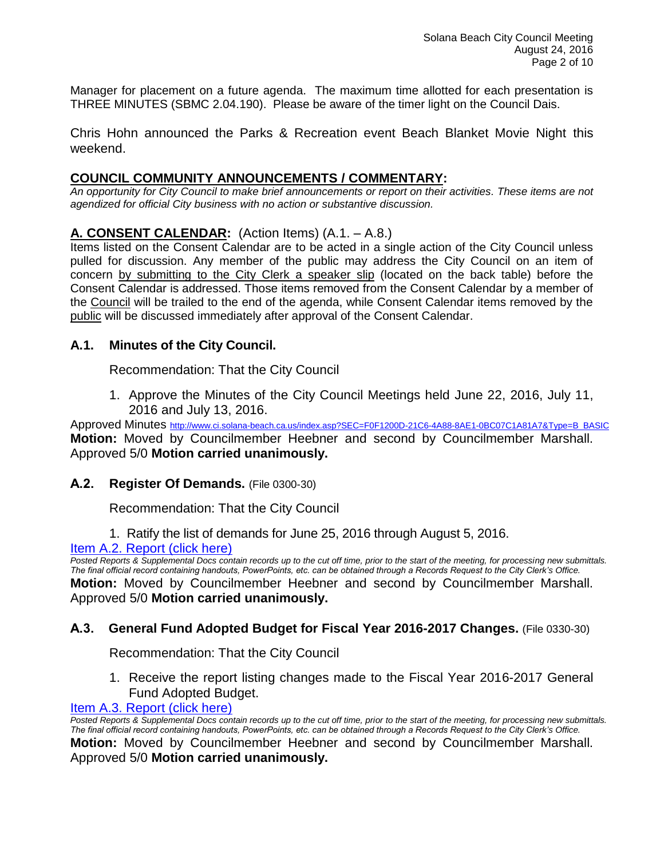Manager for placement on a future agenda. The maximum time allotted for each presentation is THREE MINUTES (SBMC 2.04.190). Please be aware of the timer light on the Council Dais.

Chris Hohn announced the Parks & Recreation event Beach Blanket Movie Night this weekend.

## **COUNCIL COMMUNITY ANNOUNCEMENTS / COMMENTARY:**

*An opportunity for City Council to make brief announcements or report on their activities. These items are not agendized for official City business with no action or substantive discussion.* 

## **A. CONSENT CALENDAR:** (Action Items) (A.1. – A.8.)

Items listed on the Consent Calendar are to be acted in a single action of the City Council unless pulled for discussion. Any member of the public may address the City Council on an item of concern by submitting to the City Clerk a speaker slip (located on the back table) before the Consent Calendar is addressed. Those items removed from the Consent Calendar by a member of the Council will be trailed to the end of the agenda, while Consent Calendar items removed by the public will be discussed immediately after approval of the Consent Calendar.

## **A.1. Minutes of the City Council.**

Recommendation: That the City Council

1. Approve the Minutes of the City Council Meetings held June 22, 2016, July 11, 2016 and July 13, 2016.

Approved Minutes [http://www.ci.solana-beach.ca.us/index.asp?SEC=F0F1200D-21C6-4A88-8AE1-0BC07C1A81A7&Type=B\\_BASIC](http://www.ci.solana-beach.ca.us/index.asp?SEC=F0F1200D-21C6-4A88-8AE1-0BC07C1A81A7&Type=B_BASIC) **Motion:** Moved by Councilmember Heebner and second by Councilmember Marshall. Approved 5/0 **Motion carried unanimously.**

## **A.2. Register Of Demands.** (File 0300-30)

Recommendation: That the City Council

1. Ratify the list of demands for June 25, 2016 through August 5, 2016.

#### [Item A.2. Report \(click here\)](https://solanabeach.govoffice3.com/vertical/Sites/%7B840804C2-F869-4904-9AE3-720581350CE7%7D/uploads/Item_A.2._Report_(click_here)_08-24-16.PDF)

*Posted Reports & Supplemental Docs contain records up to the cut off time, prior to the start of the meeting, for processing new submittals. The final official record containing handouts, PowerPoints, etc. can be obtained through a Records Request to the City Clerk's Office.* **Motion:** Moved by Councilmember Heebner and second by Councilmember Marshall. Approved 5/0 **Motion carried unanimously.**

## **A.3. General Fund Adopted Budget for Fiscal Year 2016-2017 Changes.** (File 0330-30)

Recommendation: That the City Council

1. Receive the report listing changes made to the Fiscal Year 2016-2017 General Fund Adopted Budget.

#### [Item A.3. Report \(click here\)](https://solanabeach.govoffice3.com/vertical/Sites/%7B840804C2-F869-4904-9AE3-720581350CE7%7D/uploads/Item_A.3._Report_(click_here)_08-24-16.PDF)

*Posted Reports & Supplemental Docs contain records up to the cut off time, prior to the start of the meeting, for processing new submittals. The final official record containing handouts, PowerPoints, etc. can be obtained through a Records Request to the City Clerk's Office.* **Motion:** Moved by Councilmember Heebner and second by Councilmember Marshall. Approved 5/0 **Motion carried unanimously.**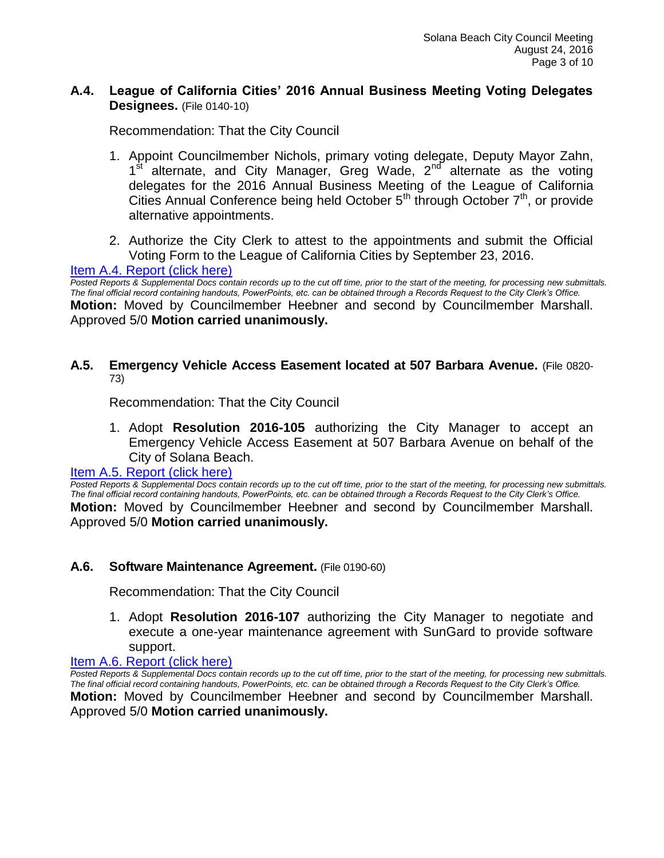## **A.4. League of California Cities' 2016 Annual Business Meeting Voting Delegates Designees.** (File 0140-10)

Recommendation: That the City Council

- 1. Appoint Councilmember Nichols, primary voting delegate, Deputy Mayor Zahn, 1<sup>st alternate, and City Manager, Greg Wade, 2<sup>nd</sup> alternate as the voting</sup> delegates for the 2016 Annual Business Meeting of the League of California Cities Annual Conference being held October  $5<sup>th</sup>$  through October  $7<sup>th</sup>$ , or provide alternative appointments.
- 2. Authorize the City Clerk to attest to the appointments and submit the Official Voting Form to the League of California Cities by September 23, 2016.

#### [Item A.4. Report \(click here\)](https://solanabeach.govoffice3.com/vertical/Sites/%7B840804C2-F869-4904-9AE3-720581350CE7%7D/uploads/Item_A.4._Report_(click_here)_08-24-16.PDF)

*Posted Reports & Supplemental Docs contain records up to the cut off time, prior to the start of the meeting, for processing new submittals. The final official record containing handouts, PowerPoints, etc. can be obtained through a Records Request to the City Clerk's Office.* **Motion:** Moved by Councilmember Heebner and second by Councilmember Marshall. Approved 5/0 **Motion carried unanimously.**

#### **A.5. Emergency Vehicle Access Easement located at 507 Barbara Avenue.** (File 0820- 73)

Recommendation: That the City Council

1. Adopt **Resolution 2016-105** authorizing the City Manager to accept an Emergency Vehicle Access Easement at 507 Barbara Avenue on behalf of the City of Solana Beach.

#### Item A.5. [Report \(click here\)](https://solanabeach.govoffice3.com/vertical/Sites/%7B840804C2-F869-4904-9AE3-720581350CE7%7D/uploads/Item_A.5._Report_(click_here)_08-24-16.PDF)

*Posted Reports & Supplemental Docs contain records up to the cut off time, prior to the start of the meeting, for processing new submittals. The final official record containing handouts, PowerPoints, etc. can be obtained through a Records Request to the City Clerk's Office.* **Motion:** Moved by Councilmember Heebner and second by Councilmember Marshall. Approved 5/0 **Motion carried unanimously.**

#### **A.6. Software Maintenance Agreement.** (File 0190-60)

Recommendation: That the City Council

1. Adopt **Resolution 2016-107** authorizing the City Manager to negotiate and execute a one-year maintenance agreement with SunGard to provide software support.

#### [Item A.6. Report \(click here\)](https://solanabeach.govoffice3.com/vertical/Sites/%7B840804C2-F869-4904-9AE3-720581350CE7%7D/uploads/Item_A.6._Report_(click_here)_08-24-16.PDF)

*Posted Reports & Supplemental Docs contain records up to the cut off time, prior to the start of the meeting, for processing new submittals. The final official record containing handouts, PowerPoints, etc. can be obtained through a Records Request to the City Clerk's Office.* **Motion:** Moved by Councilmember Heebner and second by Councilmember Marshall. Approved 5/0 **Motion carried unanimously.**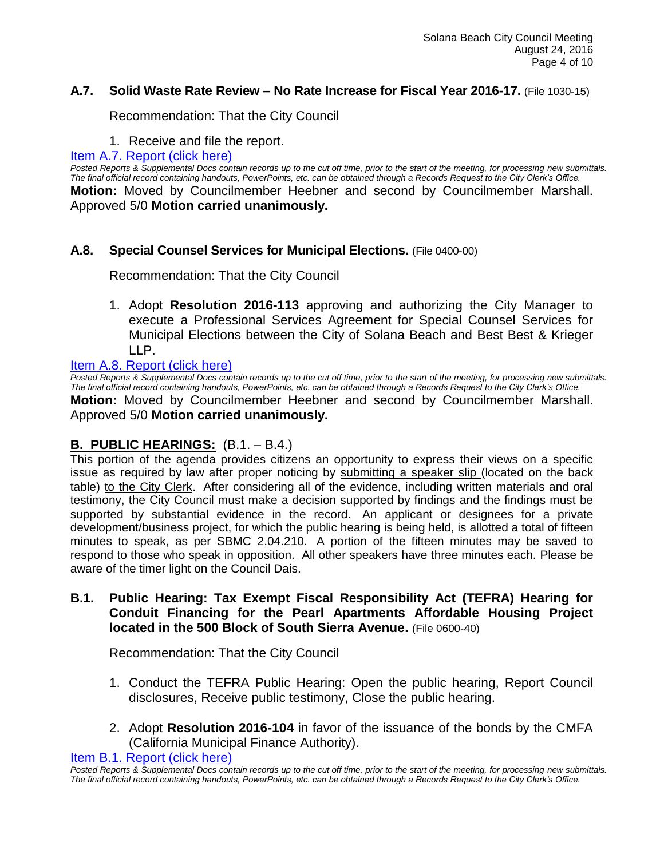## **A.7. Solid Waste Rate Review – No Rate Increase for Fiscal Year 2016-17.** (File 1030-15)

Recommendation: That the City Council

1. Receive and file the report.

#### [Item A.7. Report \(click here\)](https://solanabeach.govoffice3.com/vertical/Sites/%7B840804C2-F869-4904-9AE3-720581350CE7%7D/uploads/Item_A.7._Report_(click_here)_08-24-16.PDF)

*Posted Reports & Supplemental Docs contain records up to the cut off time, prior to the start of the meeting, for processing new submittals. The final official record containing handouts, PowerPoints, etc. can be obtained through a Records Request to the City Clerk's Office.* **Motion:** Moved by Councilmember Heebner and second by Councilmember Marshall. Approved 5/0 **Motion carried unanimously.**

## **A.8. Special Counsel Services for Municipal Elections.** (File 0400-00)

Recommendation: That the City Council

1. Adopt **Resolution 2016-113** approving and authorizing the City Manager to execute a Professional Services Agreement for Special Counsel Services for Municipal Elections between the City of Solana Beach and Best Best & Krieger LLP.

## [Item A.8. Report \(click here\)](https://solanabeach.govoffice3.com/vertical/Sites/%7B840804C2-F869-4904-9AE3-720581350CE7%7D/uploads/Item_A.8._Report_(click_here)_08-24-16.PDF)

**Posted Reports & Supplemental Docs contain records up to the cut off time, prior to the start of the meeting, for processing new submittals.** *The final official record containing handouts, PowerPoints, etc. can be obtained through a Records Request to the City Clerk's Office.* **Motion:** Moved by Councilmember Heebner and second by Councilmember Marshall. Approved 5/0 **Motion carried unanimously.**

## **B. PUBLIC HEARINGS:** (B.1. – B.4.)

This portion of the agenda provides citizens an opportunity to express their views on a specific issue as required by law after proper noticing by submitting a speaker slip (located on the back table) to the City Clerk. After considering all of the evidence, including written materials and oral testimony, the City Council must make a decision supported by findings and the findings must be supported by substantial evidence in the record. An applicant or designees for a private development/business project, for which the public hearing is being held, is allotted a total of fifteen minutes to speak, as per SBMC 2.04.210. A portion of the fifteen minutes may be saved to respond to those who speak in opposition. All other speakers have three minutes each. Please be aware of the timer light on the Council Dais.

**B.1. Public Hearing: Tax Exempt Fiscal Responsibility Act (TEFRA) Hearing for Conduit Financing for the Pearl Apartments Affordable Housing Project located in the 500 Block of South Sierra Avenue.** (File 0600-40)

Recommendation: That the City Council

- 1. Conduct the TEFRA Public Hearing: Open the public hearing, Report Council disclosures, Receive public testimony, Close the public hearing.
- 2. Adopt **Resolution 2016-104** in favor of the issuance of the bonds by the CMFA (California Municipal Finance Authority).

[Item B.1. Report \(click here\)](https://solanabeach.govoffice3.com/vertical/Sites/%7B840804C2-F869-4904-9AE3-720581350CE7%7D/uploads/Item_B.1._Report_(click_here)_08-24-16.PDF)

*Posted Reports & Supplemental Docs contain records up to the cut off time, prior to the start of the meeting, for processing new submittals. The final official record containing handouts, PowerPoints, etc. can be obtained through a Records Request to the City Clerk's Office.*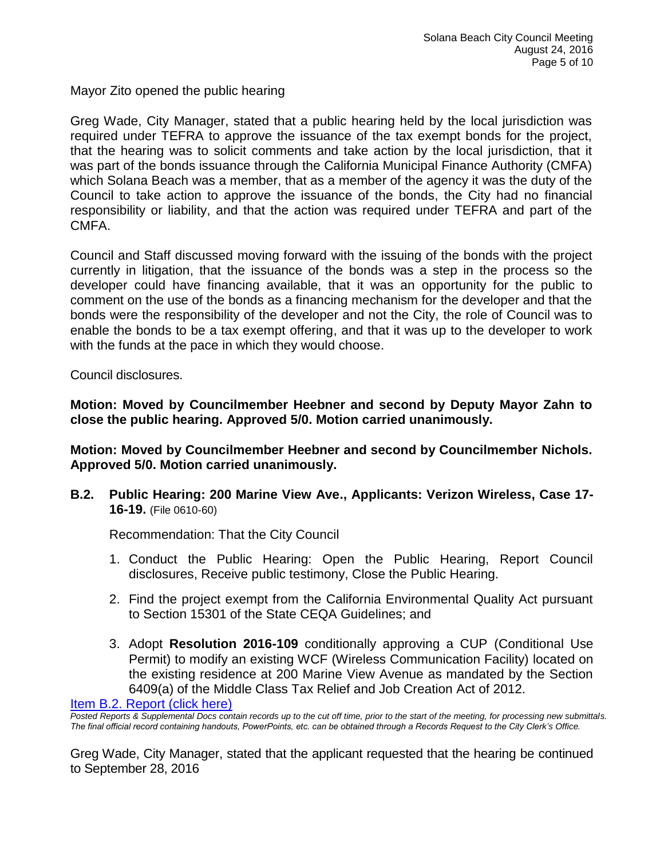Mayor Zito opened the public hearing

Greg Wade, City Manager, stated that a public hearing held by the local jurisdiction was required under TEFRA to approve the issuance of the tax exempt bonds for the project, that the hearing was to solicit comments and take action by the local jurisdiction, that it was part of the bonds issuance through the California Municipal Finance Authority (CMFA) which Solana Beach was a member, that as a member of the agency it was the duty of the Council to take action to approve the issuance of the bonds, the City had no financial responsibility or liability, and that the action was required under TEFRA and part of the CMFA.

Council and Staff discussed moving forward with the issuing of the bonds with the project currently in litigation, that the issuance of the bonds was a step in the process so the developer could have financing available, that it was an opportunity for the public to comment on the use of the bonds as a financing mechanism for the developer and that the bonds were the responsibility of the developer and not the City, the role of Council was to enable the bonds to be a tax exempt offering, and that it was up to the developer to work with the funds at the pace in which they would choose.

Council disclosures.

**Motion: Moved by Councilmember Heebner and second by Deputy Mayor Zahn to close the public hearing. Approved 5/0. Motion carried unanimously.**

**Motion: Moved by Councilmember Heebner and second by Councilmember Nichols. Approved 5/0. Motion carried unanimously.**

**B.2. Public Hearing: 200 Marine View Ave., Applicants: Verizon Wireless, Case 17- 16-19.** (File 0610-60)

Recommendation: That the City Council

- 1. Conduct the Public Hearing: Open the Public Hearing, Report Council disclosures, Receive public testimony, Close the Public Hearing.
- 2. Find the project exempt from the California Environmental Quality Act pursuant to Section 15301 of the State CEQA Guidelines; and
- 3. Adopt **Resolution 2016-109** conditionally approving a CUP (Conditional Use Permit) to modify an existing WCF (Wireless Communication Facility) located on the existing residence at 200 Marine View Avenue as mandated by the Section 6409(a) of the Middle Class Tax Relief and Job Creation Act of 2012.

[Item B.2. Report \(click here\)](https://solanabeach.govoffice3.com/vertical/Sites/%7B840804C2-F869-4904-9AE3-720581350CE7%7D/uploads/Item_B.2._Report_(click_here)_08-24-16.PDF)

*Posted Reports & Supplemental Docs contain records up to the cut off time, prior to the start of the meeting, for processing new submittals. The final official record containing handouts, PowerPoints, etc. can be obtained through a Records Request to the City Clerk's Office.*

Greg Wade, City Manager, stated that the applicant requested that the hearing be continued to September 28, 2016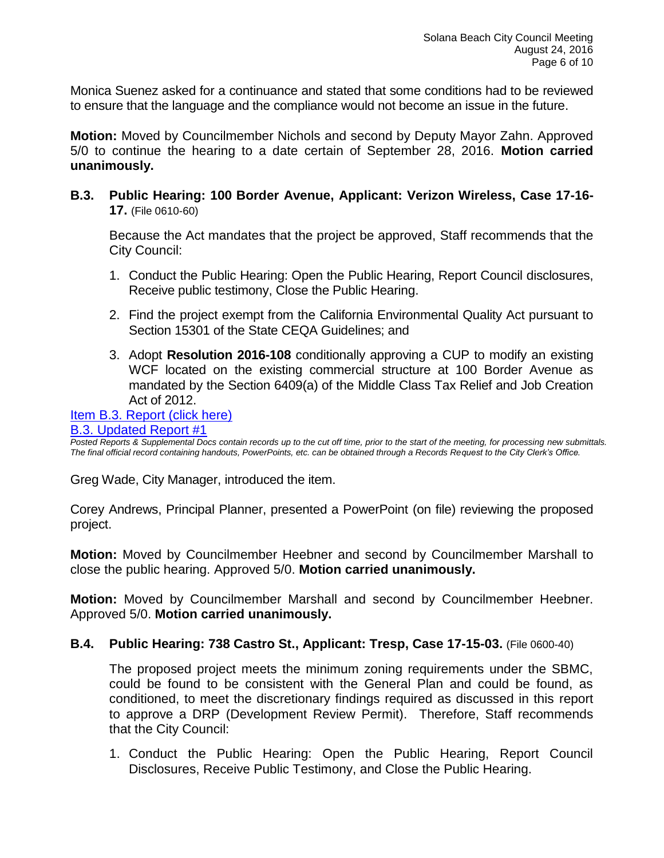Monica Suenez asked for a continuance and stated that some conditions had to be reviewed to ensure that the language and the compliance would not become an issue in the future.

**Motion:** Moved by Councilmember Nichols and second by Deputy Mayor Zahn. Approved 5/0 to continue the hearing to a date certain of September 28, 2016. **Motion carried unanimously.**

**B.3. Public Hearing: 100 Border Avenue, Applicant: Verizon Wireless, Case 17-16- 17.** (File 0610-60)

Because the Act mandates that the project be approved, Staff recommends that the City Council:

- 1. Conduct the Public Hearing: Open the Public Hearing, Report Council disclosures, Receive public testimony, Close the Public Hearing.
- 2. Find the project exempt from the California Environmental Quality Act pursuant to Section 15301 of the State CEQA Guidelines; and
- 3. Adopt **Resolution 2016-108** conditionally approving a CUP to modify an existing WCF located on the existing commercial structure at 100 Border Avenue as mandated by the Section 6409(a) of the Middle Class Tax Relief and Job Creation Act of 2012.

#### [Item B.3. Report \(click here\)](https://solanabeach.govoffice3.com/vertical/Sites/%7B840804C2-F869-4904-9AE3-720581350CE7%7D/uploads/Item_B.3._Report_(click_here)_08-24-16.PDF) [B.3. Updated Report #1](https://solanabeach.govoffice3.com/vertical/Sites/%7B840804C2-F869-4904-9AE3-720581350CE7%7D/uploads/B.3._Updated_Report_1(6).pdf)

*Posted Reports & Supplemental Docs contain records up to the cut off time, prior to the start of the meeting, for processing new submittals. The final official record containing handouts, PowerPoints, etc. can be obtained through a Records Request to the City Clerk's Office.*

Greg Wade, City Manager, introduced the item.

Corey Andrews, Principal Planner, presented a PowerPoint (on file) reviewing the proposed project.

**Motion:** Moved by Councilmember Heebner and second by Councilmember Marshall to close the public hearing. Approved 5/0. **Motion carried unanimously.**

**Motion:** Moved by Councilmember Marshall and second by Councilmember Heebner. Approved 5/0. **Motion carried unanimously.**

## **B.4. Public Hearing: 738 Castro St., Applicant: Tresp, Case 17-15-03.** (File 0600-40)

The proposed project meets the minimum zoning requirements under the SBMC, could be found to be consistent with the General Plan and could be found, as conditioned, to meet the discretionary findings required as discussed in this report to approve a DRP (Development Review Permit). Therefore, Staff recommends that the City Council:

1. Conduct the Public Hearing: Open the Public Hearing, Report Council Disclosures, Receive Public Testimony, and Close the Public Hearing.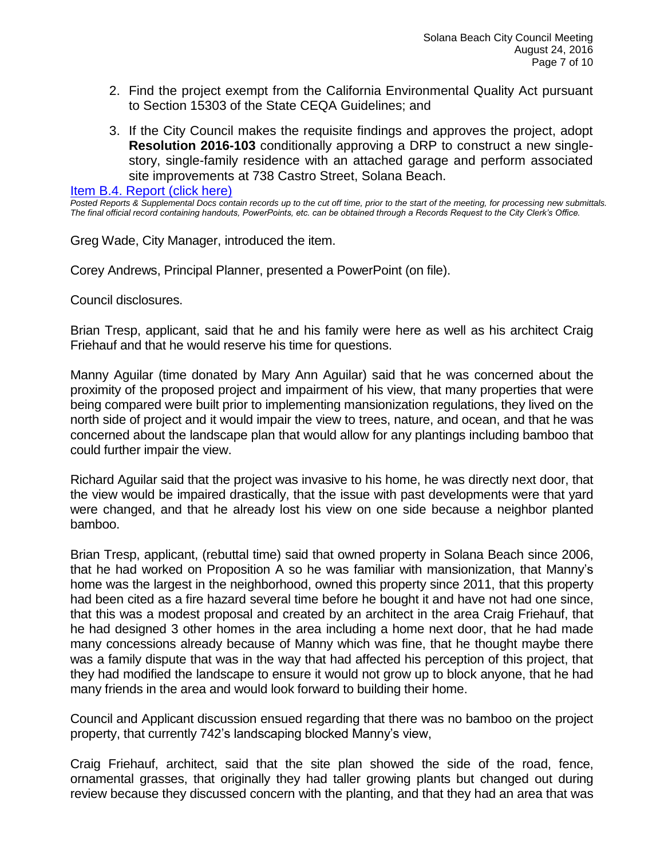- 2. Find the project exempt from the California Environmental Quality Act pursuant to Section 15303 of the State CEQA Guidelines; and
- 3. If the City Council makes the requisite findings and approves the project, adopt **Resolution 2016-103** conditionally approving a DRP to construct a new singlestory, single-family residence with an attached garage and perform associated site improvements at 738 Castro Street, Solana Beach.

[Item B.4. Report \(click here\)](https://solanabeach.govoffice3.com/vertical/Sites/%7B840804C2-F869-4904-9AE3-720581350CE7%7D/uploads/Item_B.4._Report_(click_here)_08-24-16.PDF)

*Posted Reports & Supplemental Docs contain records up to the cut off time, prior to the start of the meeting, for processing new submittals. The final official record containing handouts, PowerPoints, etc. can be obtained through a Records Request to the City Clerk's Office.*

Greg Wade, City Manager, introduced the item.

Corey Andrews, Principal Planner, presented a PowerPoint (on file).

Council disclosures.

Brian Tresp, applicant, said that he and his family were here as well as his architect Craig Friehauf and that he would reserve his time for questions.

Manny Aguilar (time donated by Mary Ann Aguilar) said that he was concerned about the proximity of the proposed project and impairment of his view, that many properties that were being compared were built prior to implementing mansionization regulations, they lived on the north side of project and it would impair the view to trees, nature, and ocean, and that he was concerned about the landscape plan that would allow for any plantings including bamboo that could further impair the view.

Richard Aguilar said that the project was invasive to his home, he was directly next door, that the view would be impaired drastically, that the issue with past developments were that yard were changed, and that he already lost his view on one side because a neighbor planted bamboo.

Brian Tresp, applicant, (rebuttal time) said that owned property in Solana Beach since 2006, that he had worked on Proposition A so he was familiar with mansionization, that Manny's home was the largest in the neighborhood, owned this property since 2011, that this property had been cited as a fire hazard several time before he bought it and have not had one since, that this was a modest proposal and created by an architect in the area Craig Friehauf, that he had designed 3 other homes in the area including a home next door, that he had made many concessions already because of Manny which was fine, that he thought maybe there was a family dispute that was in the way that had affected his perception of this project, that they had modified the landscape to ensure it would not grow up to block anyone, that he had many friends in the area and would look forward to building their home.

Council and Applicant discussion ensued regarding that there was no bamboo on the project property, that currently 742's landscaping blocked Manny's view,

Craig Friehauf, architect, said that the site plan showed the side of the road, fence, ornamental grasses, that originally they had taller growing plants but changed out during review because they discussed concern with the planting, and that they had an area that was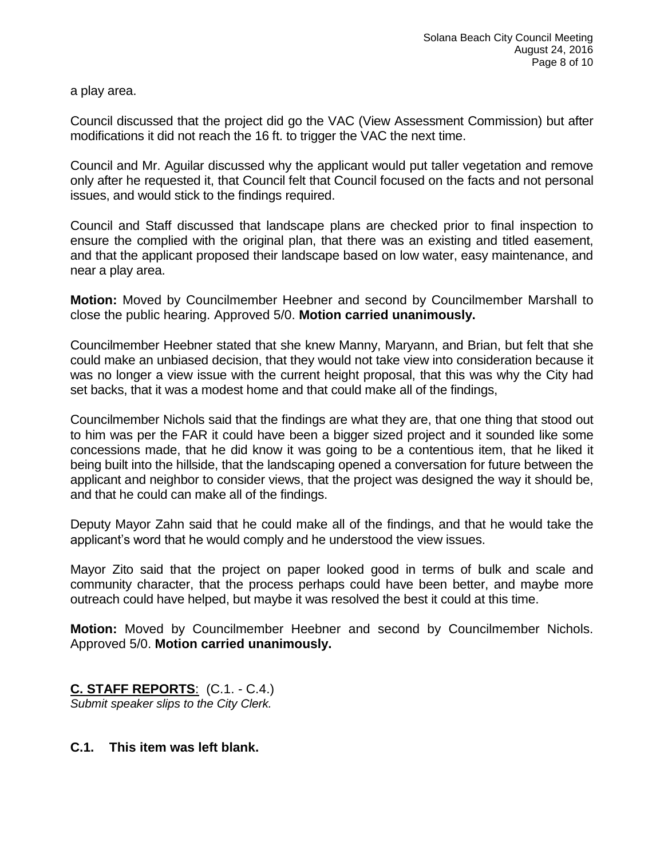a play area.

Council discussed that the project did go the VAC (View Assessment Commission) but after modifications it did not reach the 16 ft. to trigger the VAC the next time.

Council and Mr. Aguilar discussed why the applicant would put taller vegetation and remove only after he requested it, that Council felt that Council focused on the facts and not personal issues, and would stick to the findings required.

Council and Staff discussed that landscape plans are checked prior to final inspection to ensure the complied with the original plan, that there was an existing and titled easement, and that the applicant proposed their landscape based on low water, easy maintenance, and near a play area.

**Motion:** Moved by Councilmember Heebner and second by Councilmember Marshall to close the public hearing. Approved 5/0. **Motion carried unanimously.**

Councilmember Heebner stated that she knew Manny, Maryann, and Brian, but felt that she could make an unbiased decision, that they would not take view into consideration because it was no longer a view issue with the current height proposal, that this was why the City had set backs, that it was a modest home and that could make all of the findings,

Councilmember Nichols said that the findings are what they are, that one thing that stood out to him was per the FAR it could have been a bigger sized project and it sounded like some concessions made, that he did know it was going to be a contentious item, that he liked it being built into the hillside, that the landscaping opened a conversation for future between the applicant and neighbor to consider views, that the project was designed the way it should be, and that he could can make all of the findings.

Deputy Mayor Zahn said that he could make all of the findings, and that he would take the applicant's word that he would comply and he understood the view issues.

Mayor Zito said that the project on paper looked good in terms of bulk and scale and community character, that the process perhaps could have been better, and maybe more outreach could have helped, but maybe it was resolved the best it could at this time.

**Motion:** Moved by Councilmember Heebner and second by Councilmember Nichols. Approved 5/0. **Motion carried unanimously.**

**C. STAFF REPORTS**: (C.1. - C.4.) *Submit speaker slips to the City Clerk.*

## **C.1. This item was left blank.**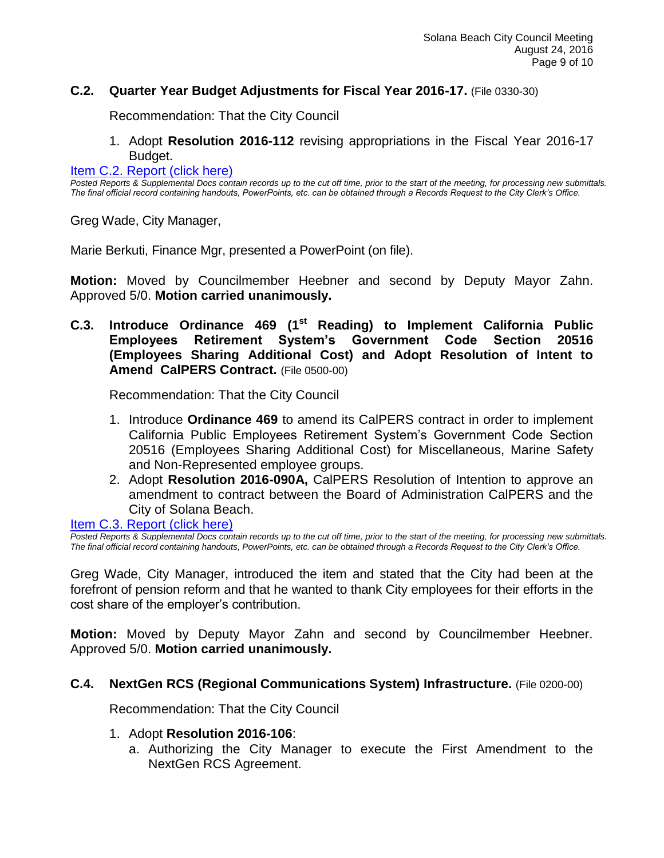## **C.2. Quarter Year Budget Adjustments for Fiscal Year 2016-17.** (File 0330-30)

Recommendation: That the City Council

1. Adopt **Resolution 2016-112** revising appropriations in the Fiscal Year 2016-17 Budget.

[Item C.2. Report \(click here\)](https://solanabeach.govoffice3.com/vertical/Sites/%7B840804C2-F869-4904-9AE3-720581350CE7%7D/uploads/Item_C.2._Report_(click_here)_08-24-16.PDF)

*Posted Reports & Supplemental Docs contain records up to the cut off time, prior to the start of the meeting, for processing new submittals. The final official record containing handouts, PowerPoints, etc. can be obtained through a Records Request to the City Clerk's Office.*

Greg Wade, City Manager,

Marie Berkuti, Finance Mgr, presented a PowerPoint (on file).

**Motion:** Moved by Councilmember Heebner and second by Deputy Mayor Zahn. Approved 5/0. **Motion carried unanimously.**

**C.3. Introduce Ordinance 469 (1st Reading) to Implement California Public Employees Retirement System's Government Code Section 20516 (Employees Sharing Additional Cost) and Adopt Resolution of Intent to Amend CalPERS Contract.** (File 0500-00)

Recommendation: That the City Council

- 1. Introduce **Ordinance 469** to amend its CalPERS contract in order to implement California Public Employees Retirement System's Government Code Section 20516 (Employees Sharing Additional Cost) for Miscellaneous, Marine Safety and Non-Represented employee groups.
- 2. Adopt **Resolution 2016-090A,** CalPERS Resolution of Intention to approve an amendment to contract between the Board of Administration CalPERS and the City of Solana Beach.

[Item C.3. Report \(click here\)](https://solanabeach.govoffice3.com/vertical/Sites/%7B840804C2-F869-4904-9AE3-720581350CE7%7D/uploads/Item_C.3._Report_(click_here)_08-24-16.PDF)

*Posted Reports & Supplemental Docs contain records up to the cut off time, prior to the start of the meeting, for processing new submittals. The final official record containing handouts, PowerPoints, etc. can be obtained through a Records Request to the City Clerk's Office.*

Greg Wade, City Manager, introduced the item and stated that the City had been at the forefront of pension reform and that he wanted to thank City employees for their efforts in the cost share of the employer's contribution.

**Motion:** Moved by Deputy Mayor Zahn and second by Councilmember Heebner. Approved 5/0. **Motion carried unanimously.**

#### **C.4. NextGen RCS (Regional Communications System) Infrastructure.** (File 0200-00)

Recommendation: That the City Council

- 1. Adopt **Resolution 2016-106**:
	- a. Authorizing the City Manager to execute the First Amendment to the NextGen RCS Agreement.